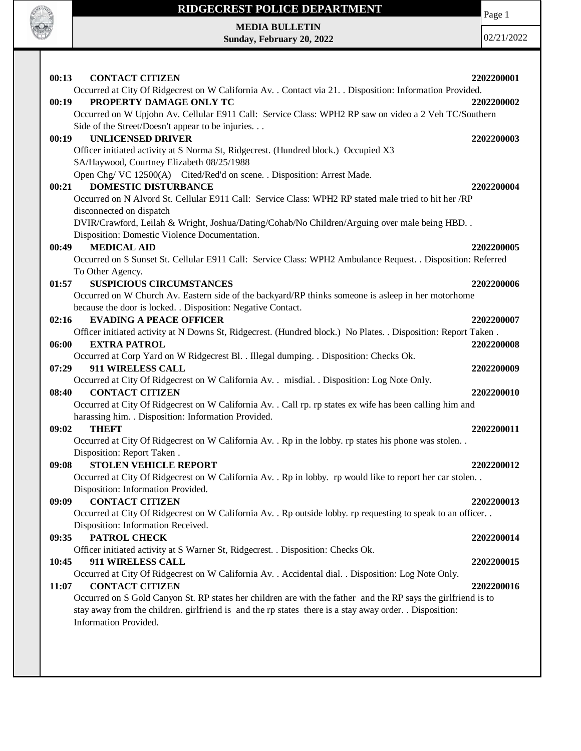

# **RIDGECREST POLICE DEPARTMENT MEDIA BULLETIN**

**Sunday, February 20, 2022**

Page 1

| 00:13<br><b>CONTACT CITIZEN</b>                                                                                | 2202200001 |
|----------------------------------------------------------------------------------------------------------------|------------|
| Occurred at City Of Ridgecrest on W California Av. . Contact via 21. . Disposition: Information Provided.      |            |
| PROPERTY DAMAGE ONLY TC<br>00:19                                                                               | 2202200002 |
| Occurred on W Upjohn Av. Cellular E911 Call: Service Class: WPH2 RP saw on video a 2 Veh TC/Southern           |            |
| Side of the Street/Doesn't appear to be injuries.                                                              |            |
| <b>UNLICENSED DRIVER</b><br>00:19                                                                              | 2202200003 |
| Officer initiated activity at S Norma St, Ridgecrest. (Hundred block.) Occupied X3                             |            |
| SA/Haywood, Courtney Elizabeth 08/25/1988                                                                      |            |
| Open Chg/VC 12500(A) Cited/Red'd on scene. . Disposition: Arrest Made.                                         |            |
| <b>DOMESTIC DISTURBANCE</b><br>00:21                                                                           | 2202200004 |
| Occurred on N Alvord St. Cellular E911 Call: Service Class: WPH2 RP stated male tried to hit her /RP           |            |
| disconnected on dispatch                                                                                       |            |
| DVIR/Crawford, Leilah & Wright, Joshua/Dating/Cohab/No Children/Arguing over male being HBD. .                 |            |
| Disposition: Domestic Violence Documentation.                                                                  |            |
| <b>MEDICAL AID</b><br>00:49                                                                                    | 2202200005 |
| Occurred on S Sunset St. Cellular E911 Call: Service Class: WPH2 Ambulance Request. . Disposition: Referred    |            |
| To Other Agency.                                                                                               |            |
| 01:57<br><b>SUSPICIOUS CIRCUMSTANCES</b>                                                                       | 2202200006 |
| Occurred on W Church Av. Eastern side of the backyard/RP thinks someone is asleep in her motorhome             |            |
| because the door is locked. . Disposition: Negative Contact.                                                   |            |
| <b>EVADING A PEACE OFFICER</b><br>02:16                                                                        | 2202200007 |
| Officer initiated activity at N Downs St, Ridgecrest. (Hundred block.) No Plates. . Disposition: Report Taken. |            |
| 06:00<br><b>EXTRA PATROL</b>                                                                                   | 2202200008 |
| Occurred at Corp Yard on W Ridgecrest Bl. . Illegal dumping. . Disposition: Checks Ok.                         |            |
| 07:29<br>911 WIRELESS CALL                                                                                     | 2202200009 |
| Occurred at City Of Ridgecrest on W California Av. . misdial. . Disposition: Log Note Only.                    |            |
| <b>CONTACT CITIZEN</b><br>08:40                                                                                | 2202200010 |
| Occurred at City Of Ridgecrest on W California Av. . Call rp. rp states ex wife has been calling him and       |            |
| harassing him. . Disposition: Information Provided.                                                            |            |
| <b>THEFT</b><br>09:02                                                                                          | 2202200011 |
| Occurred at City Of Ridgecrest on W California Av. . Rp in the lobby. rp states his phone was stolen. .        |            |
| Disposition: Report Taken.                                                                                     |            |
| <b>STOLEN VEHICLE REPORT</b><br>09:08                                                                          | 2202200012 |
| Occurred at City Of Ridgecrest on W California Av. . Rp in lobby. rp would like to report her car stolen. .    |            |
| Disposition: Information Provided.                                                                             |            |
| <b>CONTACT CITIZEN</b><br>09:09                                                                                | 2202200013 |
| Occurred at City Of Ridgecrest on W California Av. . Rp outside lobby. rp requesting to speak to an officer. . |            |
| Disposition: Information Received.                                                                             |            |
| PATROL CHECK<br>09:35                                                                                          | 2202200014 |
| Officer initiated activity at S Warner St, Ridgecrest. . Disposition: Checks Ok.                               |            |
| 10:45<br>911 WIRELESS CALL                                                                                     | 2202200015 |
| Occurred at City Of Ridgecrest on W California Av. . Accidental dial. . Disposition: Log Note Only.            |            |
| <b>CONTACT CITIZEN</b><br>11:07                                                                                | 2202200016 |
| Occurred on S Gold Canyon St. RP states her children are with the father and the RP says the girlfriend is to  |            |
| stay away from the children. girlfriend is and the rp states there is a stay away order. . Disposition:        |            |
| Information Provided.                                                                                          |            |
|                                                                                                                |            |
|                                                                                                                |            |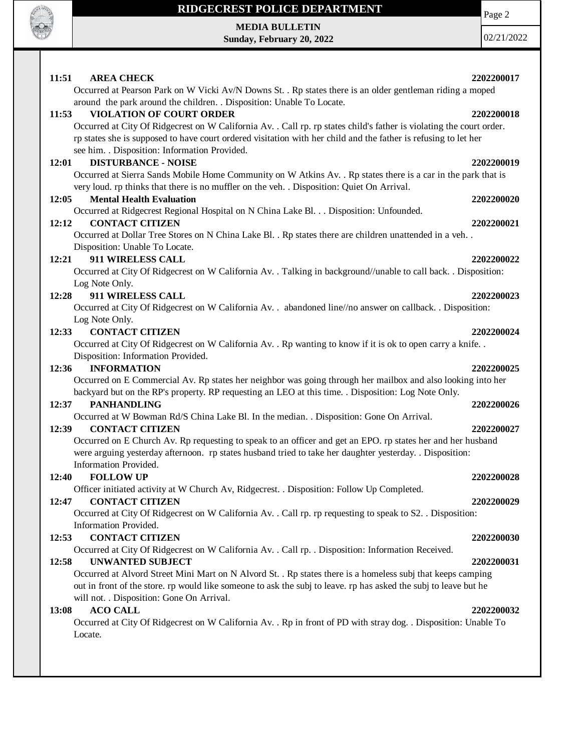

### **RIDGECREST POLICE DEPARTMENT**

**MEDIA BULLETIN Sunday, February 20, 2022** Page 2

| 11:51<br><b>AREA CHECK</b>                                                                                                                                                                                  | 2202200017 |
|-------------------------------------------------------------------------------------------------------------------------------------------------------------------------------------------------------------|------------|
| Occurred at Pearson Park on W Vicki Av/N Downs St. . Rp states there is an older gentleman riding a moped                                                                                                   |            |
| around the park around the children. . Disposition: Unable To Locate.                                                                                                                                       |            |
| VIOLATION OF COURT ORDER<br>11:53                                                                                                                                                                           | 2202200018 |
| Occurred at City Of Ridgecrest on W California Av. . Call rp. rp states child's father is violating the court order.                                                                                        |            |
| rp states she is supposed to have court ordered visitation with her child and the father is refusing to let her                                                                                             |            |
| see him. . Disposition: Information Provided.                                                                                                                                                               |            |
| <b>DISTURBANCE - NOISE</b><br>12:01                                                                                                                                                                         | 2202200019 |
| Occurred at Sierra Sands Mobile Home Community on W Atkins Av. . Rp states there is a car in the park that is<br>very loud. rp thinks that there is no muffler on the veh. . Disposition: Quiet On Arrival. |            |
| <b>Mental Health Evaluation</b><br>12:05                                                                                                                                                                    | 2202200020 |
| Occurred at Ridgecrest Regional Hospital on N China Lake Bl. Disposition: Unfounded.                                                                                                                        |            |
| <b>CONTACT CITIZEN</b><br>12:12                                                                                                                                                                             | 2202200021 |
| Occurred at Dollar Tree Stores on N China Lake Bl. . Rp states there are children unattended in a veh. .                                                                                                    |            |
| Disposition: Unable To Locate.                                                                                                                                                                              |            |
| 12:21<br>911 WIRELESS CALL                                                                                                                                                                                  | 2202200022 |
| Occurred at City Of Ridgecrest on W California Av. . Talking in background//unable to call back. . Disposition:                                                                                             |            |
| Log Note Only.                                                                                                                                                                                              |            |
| 911 WIRELESS CALL<br>12:28                                                                                                                                                                                  | 2202200023 |
| Occurred at City Of Ridgecrest on W California Av. . abandoned line//no answer on callback. . Disposition:                                                                                                  |            |
| Log Note Only.                                                                                                                                                                                              |            |
| 12:33<br><b>CONTACT CITIZEN</b>                                                                                                                                                                             | 2202200024 |
| Occurred at City Of Ridgecrest on W California Av. . Rp wanting to know if it is ok to open carry a knife. .                                                                                                |            |
| Disposition: Information Provided.                                                                                                                                                                          |            |
| 12:36<br><b>INFORMATION</b>                                                                                                                                                                                 | 2202200025 |
| Occurred on E Commercial Av. Rp states her neighbor was going through her mailbox and also looking into her                                                                                                 |            |
| backyard but on the RP's property. RP requesting an LEO at this time. . Disposition: Log Note Only.                                                                                                         |            |
| 12:37<br><b>PANHANDLING</b>                                                                                                                                                                                 | 2202200026 |
| Occurred at W Bowman Rd/S China Lake Bl. In the median. . Disposition: Gone On Arrival.                                                                                                                     |            |
| 12:39<br><b>CONTACT CITIZEN</b>                                                                                                                                                                             | 2202200027 |
| Occurred on E Church Av. Rp requesting to speak to an officer and get an EPO. rp states her and her husband                                                                                                 |            |
| were arguing yesterday afternoon. rp states husband tried to take her daughter yesterday. . Disposition:                                                                                                    |            |
| Information Provided.                                                                                                                                                                                       |            |
| 12:40<br><b>FOLLOW UP</b>                                                                                                                                                                                   | 2202200028 |
| Officer initiated activity at W Church Av, Ridgecrest. . Disposition: Follow Up Completed.                                                                                                                  |            |
| <b>CONTACT CITIZEN</b><br>12:47                                                                                                                                                                             | 2202200029 |
| Occurred at City Of Ridgecrest on W California Av. . Call rp. rp requesting to speak to S2. . Disposition:                                                                                                  |            |
| Information Provided.                                                                                                                                                                                       |            |
| <b>CONTACT CITIZEN</b><br>12:53                                                                                                                                                                             | 2202200030 |
| Occurred at City Of Ridgecrest on W California Av. . Call rp. . Disposition: Information Received.                                                                                                          |            |
| 12:58<br><b>UNWANTED SUBJECT</b>                                                                                                                                                                            | 2202200031 |
| Occurred at Alvord Street Mini Mart on N Alvord St. . Rp states there is a homeless subj that keeps camping                                                                                                 |            |
| out in front of the store, rp would like someone to ask the subj to leave, rp has asked the subj to leave but he                                                                                            |            |
| will not. . Disposition: Gone On Arrival.                                                                                                                                                                   |            |
| <b>ACO CALL</b><br>13:08                                                                                                                                                                                    | 2202200032 |
| Occurred at City Of Ridgecrest on W California Av. . Rp in front of PD with stray dog. . Disposition: Unable To                                                                                             |            |
| Locate.                                                                                                                                                                                                     |            |
|                                                                                                                                                                                                             |            |
|                                                                                                                                                                                                             |            |
|                                                                                                                                                                                                             |            |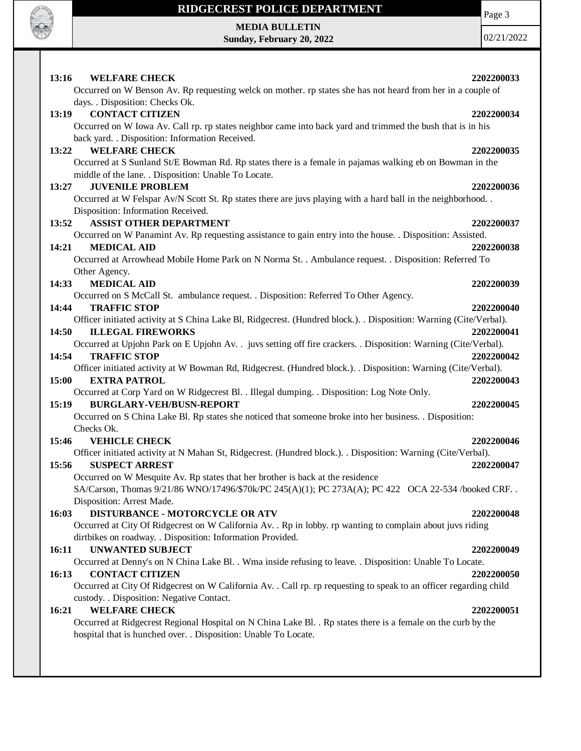

 $\mathbf{I}$ 

## **RIDGECREST POLICE DEPARTMENT**

Page 3

**MEDIA BULLETIN Sunday, February 20, 2022**

| 13:16<br><b>WELFARE CHECK</b><br>Occurred on W Benson Av. Rp requesting welck on mother. rp states she has not heard from her in a couple of                             | 2202200033 |
|--------------------------------------------------------------------------------------------------------------------------------------------------------------------------|------------|
| days. . Disposition: Checks Ok.                                                                                                                                          |            |
| <b>CONTACT CITIZEN</b><br>13:19                                                                                                                                          | 2202200034 |
| Occurred on W Iowa Av. Call rp. rp states neighbor came into back yard and trimmed the bush that is in his                                                               |            |
| back yard. . Disposition: Information Received.                                                                                                                          |            |
| <b>WELFARE CHECK</b><br>13:22                                                                                                                                            | 2202200035 |
| Occurred at S Sunland St/E Bowman Rd. Rp states there is a female in pajamas walking eb on Bowman in the                                                                 |            |
| middle of the lane. . Disposition: Unable To Locate.                                                                                                                     |            |
| <b>JUVENILE PROBLEM</b><br>13:27                                                                                                                                         | 2202200036 |
| Occurred at W Felspar Av/N Scott St. Rp states there are juvs playing with a hard ball in the neighborhood<br>Disposition: Information Received.                         |            |
| 13:52<br><b>ASSIST OTHER DEPARTMENT</b>                                                                                                                                  | 2202200037 |
| Occurred on W Panamint Av. Rp requesting assistance to gain entry into the house. . Disposition: Assisted.                                                               |            |
| <b>MEDICAL AID</b><br>14:21                                                                                                                                              | 2202200038 |
| Occurred at Arrowhead Mobile Home Park on N Norma St. . Ambulance request. . Disposition: Referred To                                                                    |            |
| Other Agency.                                                                                                                                                            |            |
| <b>MEDICAL AID</b><br>14:33                                                                                                                                              | 2202200039 |
| Occurred on S McCall St. ambulance request. . Disposition: Referred To Other Agency.                                                                                     |            |
| 14:44<br><b>TRAFFIC STOP</b>                                                                                                                                             | 2202200040 |
| Officer initiated activity at S China Lake Bl, Ridgecrest. (Hundred block.). . Disposition: Warning (Cite/Verbal).                                                       |            |
| <b>ILLEGAL FIREWORKS</b><br>14:50                                                                                                                                        | 2202200041 |
| Occurred at Upjohn Park on E Upjohn Av. . juvs setting off fire crackers. . Disposition: Warning (Cite/Verbal).                                                          |            |
| 14:54<br><b>TRAFFIC STOP</b>                                                                                                                                             | 2202200042 |
| Officer initiated activity at W Bowman Rd, Ridgecrest. (Hundred block.). . Disposition: Warning (Cite/Verbal).                                                           |            |
| 15:00<br><b>EXTRA PATROL</b>                                                                                                                                             | 2202200043 |
| Occurred at Corp Yard on W Ridgecrest Bl. . Illegal dumping. . Disposition: Log Note Only.                                                                               |            |
| 15:19<br><b>BURGLARY-VEH/BUSN-REPORT</b>                                                                                                                                 | 2202200045 |
| Occurred on S China Lake Bl. Rp states she noticed that someone broke into her business. . Disposition:                                                                  |            |
| Checks Ok.                                                                                                                                                               |            |
| 15:46<br><b>VEHICLE CHECK</b>                                                                                                                                            | 2202200046 |
| Officer initiated activity at N Mahan St, Ridgecrest. (Hundred block.). . Disposition: Warning (Cite/Verbal).                                                            |            |
| 15:56<br><b>SUSPECT ARREST</b>                                                                                                                                           | 2202200047 |
| Occurred on W Mesquite Av. Rp states that her brother is back at the residence                                                                                           |            |
| SA/Carson, Thomas 9/21/86 WNO/17496/\$70k/PC 245(A)(1); PC 273A(A); PC 422 OCA 22-534 /booked CRF                                                                        |            |
| Disposition: Arrest Made.                                                                                                                                                |            |
| <b>DISTURBANCE - MOTORCYCLE OR ATV</b><br>16:03                                                                                                                          | 2202200048 |
| Occurred at City Of Ridgecrest on W California Av. . Rp in lobby. rp wanting to complain about juvs riding<br>dirtbikes on roadway. . Disposition: Information Provided. |            |
| <b>UNWANTED SUBJECT</b><br>16:11                                                                                                                                         | 2202200049 |
| Occurred at Denny's on N China Lake Bl. . Wma inside refusing to leave. . Disposition: Unable To Locate.                                                                 |            |
| <b>CONTACT CITIZEN</b><br>16:13                                                                                                                                          | 2202200050 |
| Occurred at City Of Ridgecrest on W California Av. . Call rp. rp requesting to speak to an officer regarding child                                                       |            |
| custody. . Disposition: Negative Contact.                                                                                                                                |            |
| <b>WELFARE CHECK</b><br>16:21                                                                                                                                            | 2202200051 |
| Occurred at Ridgecrest Regional Hospital on N China Lake Bl. . Rp states there is a female on the curb by the                                                            |            |
| hospital that is hunched over. . Disposition: Unable To Locate.                                                                                                          |            |
|                                                                                                                                                                          |            |
|                                                                                                                                                                          |            |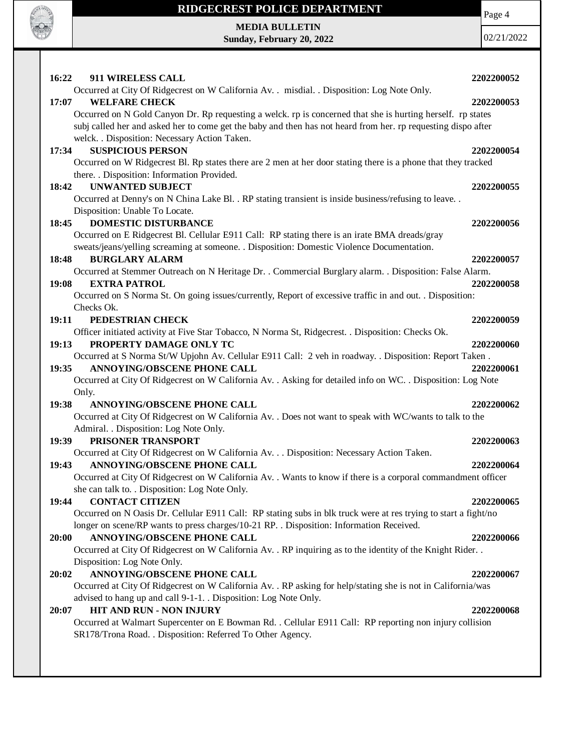

#### **RIDGECREST POLICE DEPARTMENT**

**MEDIA BULLETIN Sunday, February 20, 2022** Page 4

| 16:22<br>911 WIRELESS CALL                                                                                      | 2202200052 |
|-----------------------------------------------------------------------------------------------------------------|------------|
| Occurred at City Of Ridgecrest on W California Av. . misdial. . Disposition: Log Note Only.                     |            |
| <b>WELFARE CHECK</b><br>17:07                                                                                   | 2202200053 |
| Occurred on N Gold Canyon Dr. Rp requesting a welck. rp is concerned that she is hurting herself. rp states     |            |
| subj called her and asked her to come get the baby and then has not heard from her. rp requesting dispo after   |            |
| welck. . Disposition: Necessary Action Taken.                                                                   |            |
| <b>SUSPICIOUS PERSON</b><br>17:34                                                                               | 2202200054 |
| Occurred on W Ridgecrest Bl. Rp states there are 2 men at her door stating there is a phone that they tracked   |            |
| there. . Disposition: Information Provided.                                                                     |            |
| <b>UNWANTED SUBJECT</b><br>18:42                                                                                | 2202200055 |
| Occurred at Denny's on N China Lake Bl. . RP stating transient is inside business/refusing to leave. .          |            |
| Disposition: Unable To Locate.                                                                                  |            |
| <b>DOMESTIC DISTURBANCE</b><br>18:45                                                                            | 2202200056 |
| Occurred on E Ridgecrest Bl. Cellular E911 Call: RP stating there is an irate BMA dreads/gray                   |            |
| sweats/jeans/yelling screaming at someone. . Disposition: Domestic Violence Documentation.                      |            |
| <b>BURGLARY ALARM</b><br>18:48                                                                                  | 2202200057 |
| Occurred at Stemmer Outreach on N Heritage Dr. . Commercial Burglary alarm. . Disposition: False Alarm.         |            |
| <b>EXTRA PATROL</b><br>19:08                                                                                    | 2202200058 |
| Occurred on S Norma St. On going issues/currently, Report of excessive traffic in and out. . Disposition:       |            |
| Checks Ok.                                                                                                      |            |
| PEDESTRIAN CHECK<br>19:11                                                                                       | 2202200059 |
| Officer initiated activity at Five Star Tobacco, N Norma St, Ridgecrest. . Disposition: Checks Ok.              |            |
| PROPERTY DAMAGE ONLY TC<br>19:13                                                                                | 2202200060 |
| Occurred at S Norma St/W Upjohn Av. Cellular E911 Call: 2 veh in roadway. . Disposition: Report Taken.          |            |
| ANNOYING/OBSCENE PHONE CALL<br>19:35                                                                            | 2202200061 |
| Occurred at City Of Ridgecrest on W California Av. . Asking for detailed info on WC. . Disposition: Log Note    |            |
| Only.<br>19:38<br>ANNOYING/OBSCENE PHONE CALL                                                                   | 2202200062 |
| Occurred at City Of Ridgecrest on W California Av. . Does not want to speak with WC/wants to talk to the        |            |
| Admiral. . Disposition: Log Note Only.                                                                          |            |
| PRISONER TRANSPORT<br>19:39                                                                                     | 2202200063 |
| Occurred at City Of Ridgecrest on W California Av. Disposition: Necessary Action Taken.                         |            |
| ANNOYING/OBSCENE PHONE CALL<br>19:43                                                                            | 2202200064 |
| Occurred at City Of Ridgecrest on W California Av. . Wants to know if there is a corporal commandment officer   |            |
| she can talk to. . Disposition: Log Note Only.                                                                  |            |
| <b>CONTACT CITIZEN</b><br>19:44                                                                                 | 2202200065 |
| Occurred on N Oasis Dr. Cellular E911 Call: RP stating subs in blk truck were at res trying to start a fight/no |            |
| longer on scene/RP wants to press charges/10-21 RP. . Disposition: Information Received.                        |            |
| ANNOYING/OBSCENE PHONE CALL<br>20:00                                                                            | 2202200066 |
| Occurred at City Of Ridgecrest on W California Av. . RP inquiring as to the identity of the Knight Rider. .     |            |
| Disposition: Log Note Only.                                                                                     |            |
| ANNOYING/OBSCENE PHONE CALL<br>20:02                                                                            | 2202200067 |
| Occurred at City Of Ridgecrest on W California Av. . RP asking for help/stating she is not in California/was    |            |
| advised to hang up and call 9-1-1. Disposition: Log Note Only.                                                  |            |
| HIT AND RUN - NON INJURY<br>20:07                                                                               | 2202200068 |
| Occurred at Walmart Supercenter on E Bowman Rd. . Cellular E911 Call: RP reporting non injury collision         |            |
| SR178/Trona Road. . Disposition: Referred To Other Agency.                                                      |            |
|                                                                                                                 |            |
|                                                                                                                 |            |